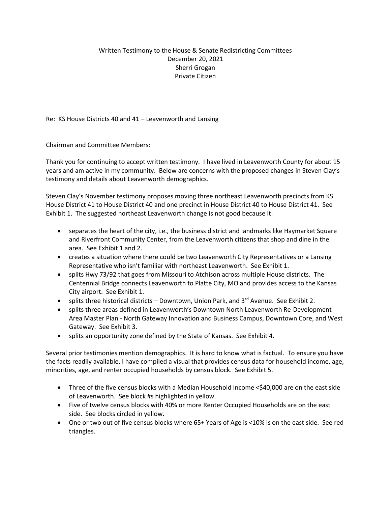## Written Testimony to the House & Senate Redistricting Committees December 20, 2021 Sherri Grogan Private Citizen

Re: KS House Districts 40 and 41 – Leavenworth and Lansing

Chairman and Committee Members:

Thank you for continuing to accept written testimony. I have lived in Leavenworth County for about 15 years and am active in my community. Below are concerns with the proposed changes in Steven Clay's testimony and details about Leavenworth demographics.

Steven Clay's November testimony proposes moving three northeast Leavenworth precincts from KS House District 41 to House District 40 and one precinct in House District 40 to House District 41. See Exhibit 1. The suggested northeast Leavenworth change is not good because it:

- separates the heart of the city, i.e., the business district and landmarks like Haymarket Square and Riverfront Community Center, from the Leavenworth citizens that shop and dine in the area. See Exhibit 1 and 2.
- creates a situation where there could be two Leavenworth City Representatives or a Lansing Representative who isn't familiar with northeast Leavenworth. See Exhibit 1.
- splits Hwy 73/92 that goes from Missouri to Atchison across multiple House districts. The Centennial Bridge connects Leavenworth to Platte City, MO and provides access to the Kansas City airport. See Exhibit 1.
- splits three historical districts Downtown, Union Park, and  $3<sup>rd</sup>$  Avenue. See Exhibit 2.
- splits three areas defined in Leavenworth's Downtown North Leavenworth Re-Development Area Master Plan - North Gateway Innovation and Business Campus, Downtown Core, and West Gateway. See Exhibit 3.
- splits an opportunity zone defined by the State of Kansas. See Exhibit 4.

Several prior testimonies mention demographics. It is hard to know what is factual. To ensure you have the facts readily available, I have compiled a visual that provides census data for household income, age, minorities, age, and renter occupied households by census block. See Exhibit 5.

- Three of the five census blocks with a Median Household Income <\$40,000 are on the east side of Leavenworth. See block #s highlighted in yellow.
- Five of twelve census blocks with 40% or more Renter Occupied Households are on the east side. See blocks circled in yellow.
- One or two out of five census blocks where 65+ Years of Age is <10% is on the east side. See red triangles.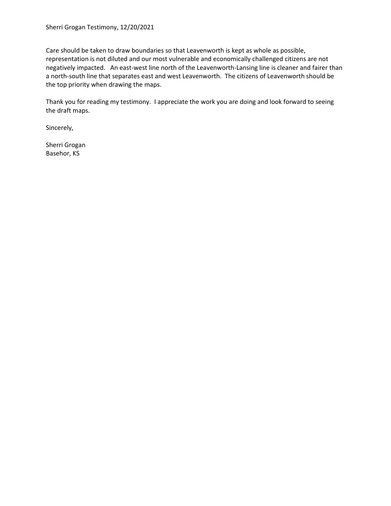Care should be taken to draw boundaries so that Leavenworth is kept as whole as possible, representation is not diluted and our most vulnerable and economically challenged citizens are not negatively impacted. An east-west line north of the Leavenworth-Lansing line is cleaner and fairer than a north-south line that separates east and west Leavenworth. The citizens of Leavenworth should be the top priority when drawing the maps.

Thank you for reading my testimony. I appreciate the work you are doing and look forward to seeing the draft maps.

Sincerely,

Sherri Grogan Basehor, KS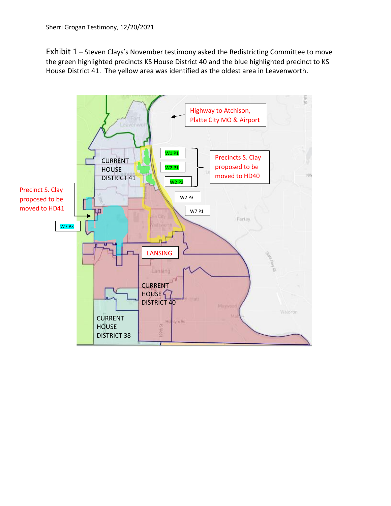Exhibit 1 – Steven Clays's November testimony asked the Redistricting Committee to move the green highlighted precincts KS House District 40 and the blue highlighted precinct to KS House District 41. The yellow area was identified as the oldest area in Leavenworth.

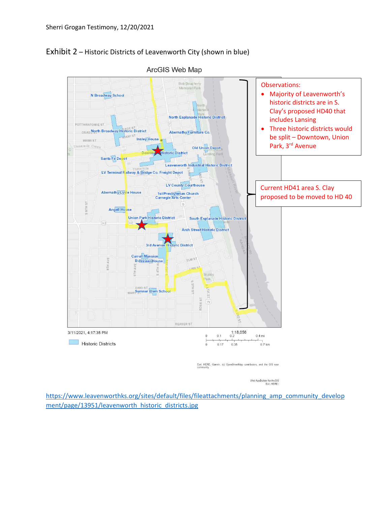

Exhibit 2 – Historic Districts of Leavenworth City (shown in blue)

Web AppBuilder for ArcGIS<br>Esri, HERE |

[https://www.leavenworthks.org/sites/default/files/fileattachments/planning\\_amp\\_community\\_develop](https://www.leavenworthks.org/sites/default/files/fileattachments/planning_amp_community_development/page/13951/leavenworth_historic_districts.jpg) [ment/page/13951/leavenworth\\_historic\\_districts.jpg](https://www.leavenworthks.org/sites/default/files/fileattachments/planning_amp_community_development/page/13951/leavenworth_historic_districts.jpg)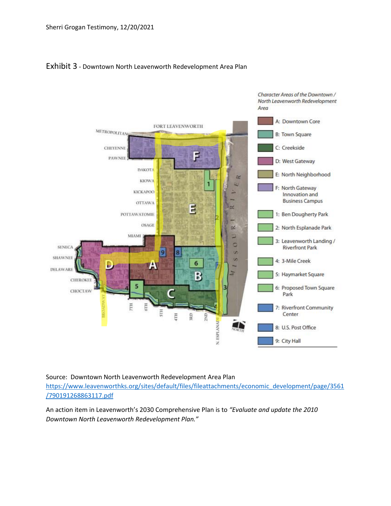## Exhibit 3 - Downtown North Leavenworth Redevelopment Area Plan



## Source: Downtown North Leavenworth Redevelopment Area Plan [https://www.leavenworthks.org/sites/default/files/fileattachments/economic\\_development/page/3561](https://www.leavenworthks.org/sites/default/files/fileattachments/economic_development/page/3561/790191268863117.pdf) [/790191268863117.pdf](https://www.leavenworthks.org/sites/default/files/fileattachments/economic_development/page/3561/790191268863117.pdf)

An action item in Leavenworth's 2030 Comprehensive Plan is to *"Evaluate and update the 2010 Downtown North Leavenworth Redevelopment Plan."*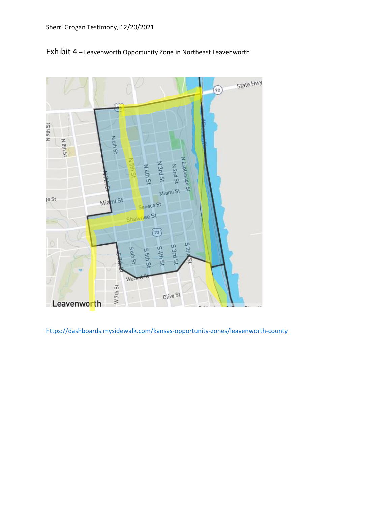

Exhibit 4 – Leavenworth Opportunity Zone in Northeast Leavenworth

<https://dashboards.mysidewalk.com/kansas-opportunity-zones/leavenworth-county>